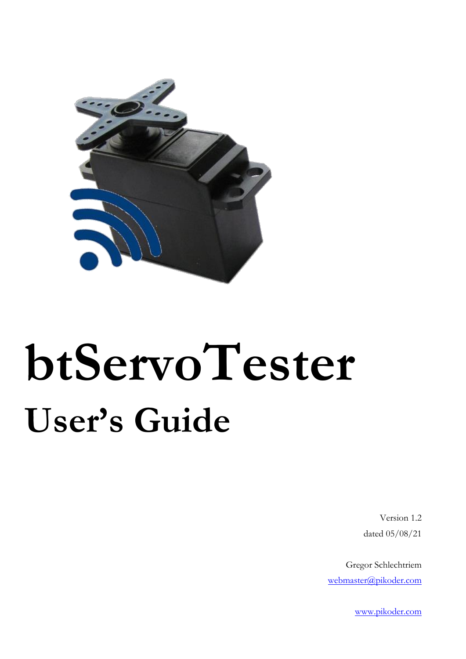

Version 1.2 dated 05/08/21

Gregor Schlechtriem [webmaster@pikoder.com](mailto:webmaster@pikoder.com)

[www.pikoder.com](http://www.pikoder.com/)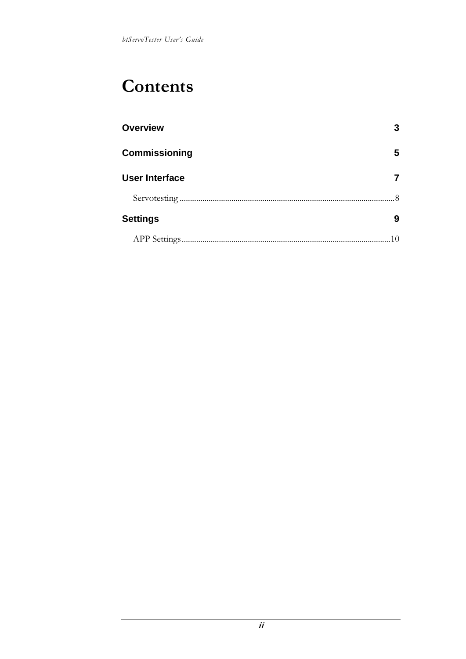## **Contents**

| <b>Overview</b>       |   |
|-----------------------|---|
| <b>Commissioning</b>  | 5 |
| <b>User Interface</b> |   |
|                       |   |
| <b>Settings</b>       | 9 |
|                       |   |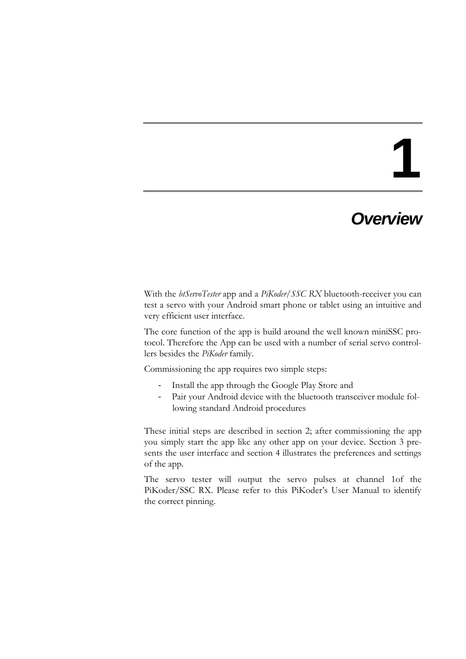### *Overview*

With the *btServoTester* app and a *PiKoder/SSC RX* bluetooth-receiver you can test a servo with your Android smart phone or tablet using an intuitive and very efficient user interface.

The core function of the app is build around the well known miniSSC protocol. Therefore the App can be used with a number of serial servo controllers besides the *PiKoder* family.

Commissioning the app requires two simple steps:

- Install the app through the Google Play Store and
- Pair your Android device with the bluetooth transceiver module following standard Android procedures

These initial steps are described in section 2; after commissioning the app you simply start the app like any other app on your device. Section 3 presents the user interface and section 4 illustrates the preferences and settings of the app.

The servo tester will output the servo pulses at channel 1of the PiKoder/SSC RX. Please refer to this PiKoder's User Manual to identify the correct pinning.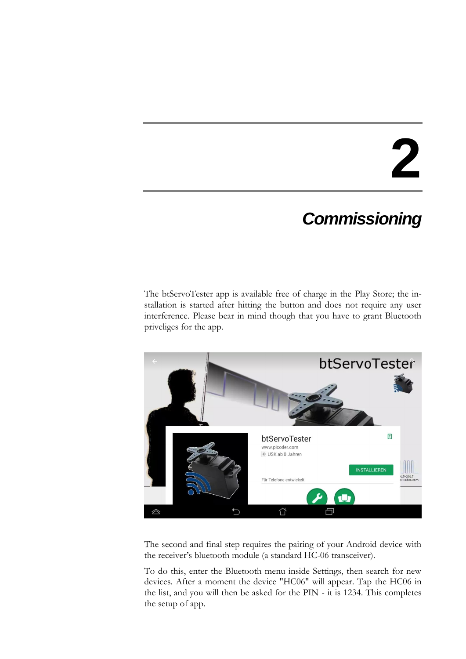### *Commissioning*

The btServoTester app is available free of charge in the Play Store; the installation is started after hitting the button and does not require any user interference. Please bear in mind though that you have to grant Bluetooth priveliges for the app.



The second and final step requires the pairing of your Android device with the receiver's bluetooth module (a standard HC-06 transceiver).

To do this, enter the Bluetooth menu inside Settings, then search for new devices. After a moment the device "HC06" will appear. Tap the HC06 in the list, and you will then be asked for the PIN - it is 1234. This completes the setup of app.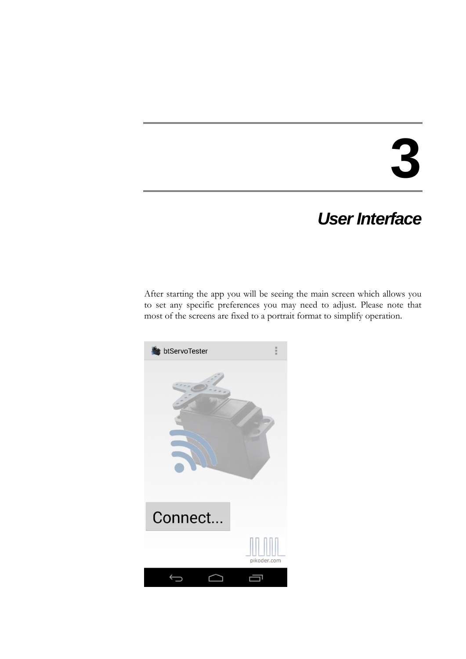### *User Interface*

After starting the app you will be seeing the main screen which allows you to set any specific preferences you may need to adjust. Please note that most of the screens are fixed to a portrait format to simplify operation.

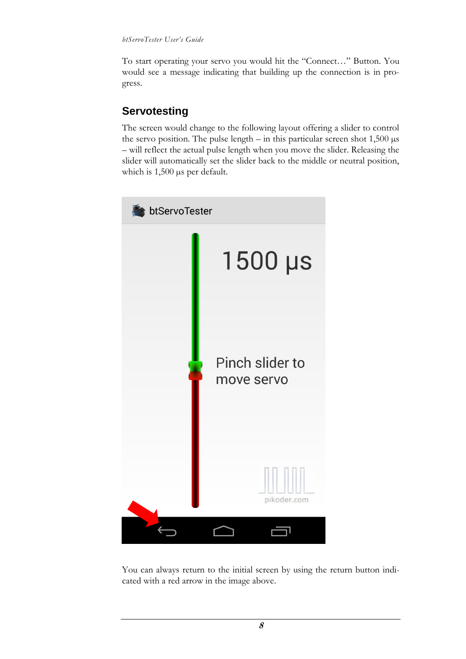To start operating your servo you would hit the "Connect…" Button. You would see a message indicating that building up the connection is in progress.

#### **Servotesting**

The screen would change to the following layout offering a slider to control the servo position. The pulse length  $-$  in this particular screen shot 1,500  $\mu$ s – will reflect the actual pulse length when you move the slider. Releasing the slider will automatically set the slider back to the middle or neutral position, which is 1,500  $\mu$ s per default.



You can always return to the initial screen by using the return button indicated with a red arrow in the image above.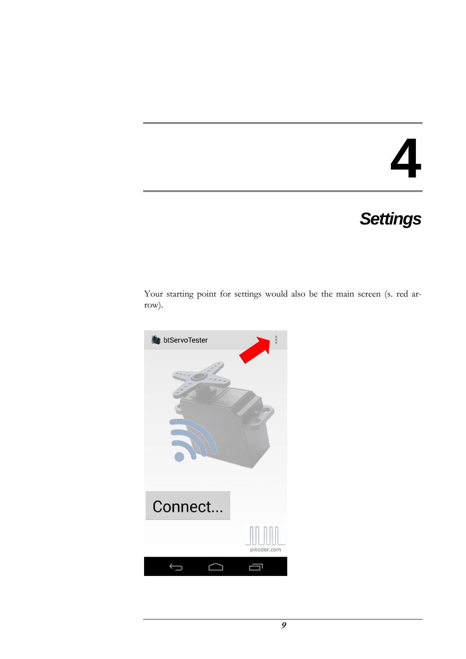## *Settings*

Your starting point for settings would also be the main screen (s. red arrow).

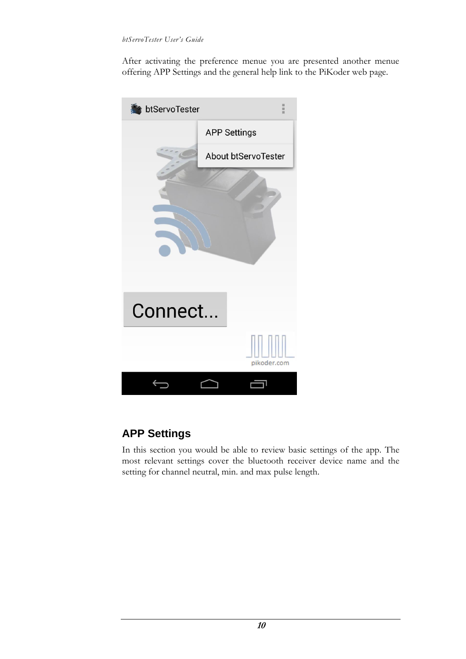After activating the preference menue you are presented another menue offering APP Settings and the general help link to the PiKoder web page.



#### **APP Settings**

In this section you would be able to review basic settings of the app. The most relevant settings cover the bluetooth receiver device name and the setting for channel neutral, min. and max pulse length.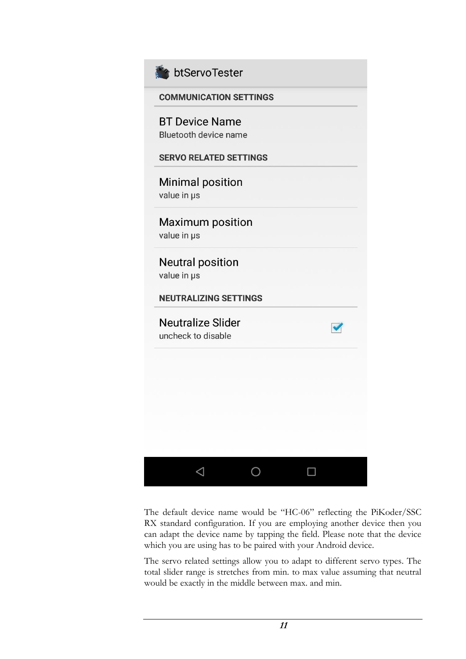

### btServoTester

| <b>COMMUNICATION SETTINGS</b>                         |  |
|-------------------------------------------------------|--|
| <b>BT Device Name</b><br><b>Bluetooth device name</b> |  |
| <b>SERVO RELATED SETTINGS</b>                         |  |
| <b>Minimal position</b><br>value in µs                |  |
| <b>Maximum position</b><br>value in us                |  |
| <b>Neutral position</b><br>value in µs                |  |
| <b>NEUTRALIZING SETTINGS</b>                          |  |
| <b>Neutralize Slider</b><br>uncheck to disable        |  |
|                                                       |  |
|                                                       |  |
|                                                       |  |
|                                                       |  |
| ◁                                                     |  |

The default device name would be "HC-06" reflecting the PiKoder/SSC RX standard configuration. If you are employing another device then you can adapt the device name by tapping the field. Please note that the device which you are using has to be paired with your Android device.

The servo related settings allow you to adapt to different servo types. The total slider range is stretches from min. to max value assuming that neutral would be exactly in the middle between max. and min.